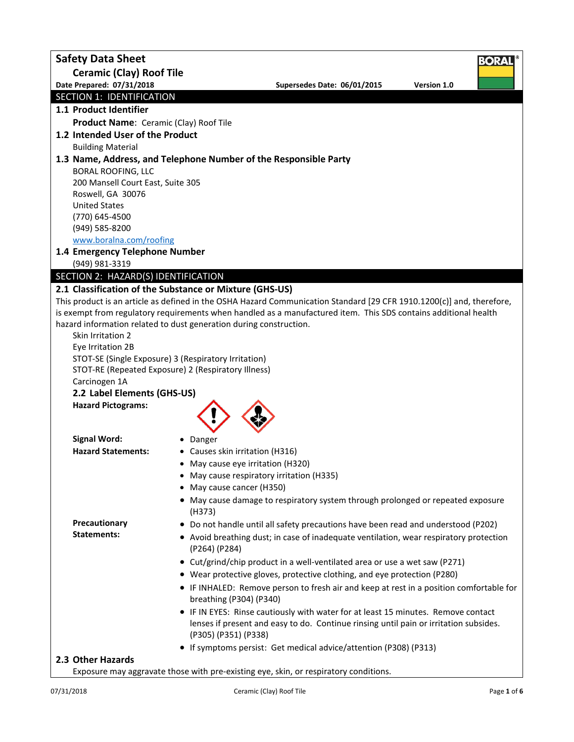| <b>Safety Data Sheet</b>                               | BORA                                                                                                                  |
|--------------------------------------------------------|-----------------------------------------------------------------------------------------------------------------------|
| <b>Ceramic (Clay) Roof Tile</b>                        |                                                                                                                       |
| Date Prepared: 07/31/2018                              | Supersedes Date: 06/01/2015<br>Version 1.0                                                                            |
| SECTION 1: IDENTIFICATION                              |                                                                                                                       |
| 1.1 Product Identifier                                 |                                                                                                                       |
| Product Name: Ceramic (Clay) Roof Tile                 |                                                                                                                       |
| 1.2 Intended User of the Product                       |                                                                                                                       |
| <b>Building Material</b>                               |                                                                                                                       |
|                                                        | 1.3 Name, Address, and Telephone Number of the Responsible Party                                                      |
| <b>BORAL ROOFING, LLC</b>                              |                                                                                                                       |
| 200 Mansell Court East, Suite 305<br>Roswell, GA 30076 |                                                                                                                       |
| <b>United States</b>                                   |                                                                                                                       |
| (770) 645-4500                                         |                                                                                                                       |
| (949) 585-8200                                         |                                                                                                                       |
| www.boralna.com/roofing                                |                                                                                                                       |
| 1.4 Emergency Telephone Number                         |                                                                                                                       |
| (949) 981-3319                                         |                                                                                                                       |
| SECTION 2: HAZARD(S) IDENTIFICATION                    |                                                                                                                       |
|                                                        | 2.1 Classification of the Substance or Mixture (GHS-US)                                                               |
|                                                        | This product is an article as defined in the OSHA Hazard Communication Standard [29 CFR 1910.1200(c)] and, therefore, |
|                                                        | is exempt from regulatory requirements when handled as a manufactured item. This SDS contains additional health       |
|                                                        | hazard information related to dust generation during construction.                                                    |
| Skin Irritation 2                                      |                                                                                                                       |
| Eye Irritation 2B                                      |                                                                                                                       |
|                                                        | STOT-SE (Single Exposure) 3 (Respiratory Irritation)                                                                  |
|                                                        | STOT-RE (Repeated Exposure) 2 (Respiratory Illness)                                                                   |
| Carcinogen 1A                                          |                                                                                                                       |
| 2.2 Label Elements (GHS-US)                            |                                                                                                                       |
| <b>Hazard Pictograms:</b>                              |                                                                                                                       |
|                                                        |                                                                                                                       |
| <b>Signal Word:</b>                                    | • Danger                                                                                                              |
| <b>Hazard Statements:</b>                              | • Causes skin irritation (H316)                                                                                       |
|                                                        | • May cause eye irritation (H320)                                                                                     |
|                                                        | • May cause respiratory irritation (H335)                                                                             |
|                                                        | • May cause cancer (H350)                                                                                             |
|                                                        | • May cause damage to respiratory system through prolonged or repeated exposure                                       |
|                                                        | (H373)                                                                                                                |
| Precautionary                                          | • Do not handle until all safety precautions have been read and understood (P202)                                     |
| <b>Statements:</b>                                     | • Avoid breathing dust; in case of inadequate ventilation, wear respiratory protection                                |
|                                                        | (P264) (P284)                                                                                                         |
|                                                        | • Cut/grind/chip product in a well-ventilated area or use a wet saw (P271)                                            |
|                                                        | • Wear protective gloves, protective clothing, and eye protection (P280)                                              |
|                                                        | • IF INHALED: Remove person to fresh air and keep at rest in a position comfortable for                               |
|                                                        | breathing (P304) (P340)                                                                                               |
|                                                        | • IF IN EYES: Rinse cautiously with water for at least 15 minutes. Remove contact                                     |
|                                                        | lenses if present and easy to do. Continue rinsing until pain or irritation subsides.                                 |
|                                                        | (P305) (P351) (P338)                                                                                                  |
|                                                        | • If symptoms persist: Get medical advice/attention (P308) (P313)                                                     |
| 2.3 Other Hazards                                      |                                                                                                                       |
|                                                        | Exposure may aggravate those with pre-existing eye, skin, or respiratory conditions.                                  |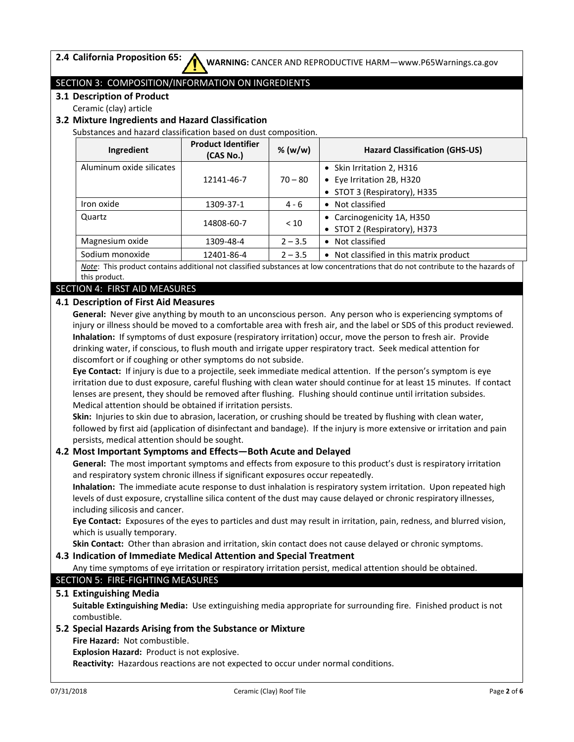## SECTION 3: COMPOSITION/INFORMATION ON INGREDIENTS

**3.1 Description of Product**

Ceramic (clay) article

## **3.2 Mixture Ingredients and Hazard Classification**

Substances and hazard classification based on dust composition.

| Ingredient                                                                                                                | <b>Product Identifier</b><br>(CAS No.) | % (w/w)                    | <b>Hazard Classification (GHS-US)</b>   |  |
|---------------------------------------------------------------------------------------------------------------------------|----------------------------------------|----------------------------|-----------------------------------------|--|
| Aluminum oxide silicates                                                                                                  |                                        |                            | • Skin Irritation 2, H316               |  |
|                                                                                                                           | 12141-46-7                             | $70 - 80$                  | • Eye Irritation 2B, H320               |  |
|                                                                                                                           |                                        |                            | • STOT 3 (Respiratory), H335            |  |
| Iron oxide                                                                                                                | 1309-37-1                              | $4 - 6$                    | • Not classified                        |  |
| Quartz                                                                                                                    |                                        | • Carcinogenicity 1A, H350 |                                         |  |
|                                                                                                                           | 14808-60-7                             | < 10                       | • STOT 2 (Respiratory), H373            |  |
| Magnesium oxide                                                                                                           | 1309-48-4                              | $2 - 3.5$                  | Not classified<br>$\bullet$             |  |
| Sodium monoxide                                                                                                           | 12401-86-4                             | $2 - 3.5$                  | • Not classified in this matrix product |  |
| this product contains additional not classified substances at low concentrations that do not contribute to the hazards of |                                        |                            |                                         |  |

*Note*: This product contains additional not classified substances at low concentrations that do not contribute to the hazards of this product.

### SECTION 4: FIRST AID MEASURES

### **4.1 Description of First Aid Measures**

**General:** Never give anything by mouth to an unconscious person. Any person who is experiencing symptoms of injury or illness should be moved to a comfortable area with fresh air, and the label or SDS of this product reviewed. **Inhalation:** If symptoms of dust exposure (respiratory irritation) occur, move the person to fresh air. Provide drinking water, if conscious, to flush mouth and irrigate upper respiratory tract. Seek medical attention for discomfort or if coughing or other symptoms do not subside.

**Eye Contact:** If injury is due to a projectile, seek immediate medical attention. If the person's symptom is eye irritation due to dust exposure, careful flushing with clean water should continue for at least 15 minutes. If contact lenses are present, they should be removed after flushing. Flushing should continue until irritation subsides. Medical attention should be obtained if irritation persists.

**Skin:** Injuries to skin due to abrasion, laceration, or crushing should be treated by flushing with clean water, followed by first aid (application of disinfectant and bandage). If the injury is more extensive or irritation and pain persists, medical attention should be sought.

#### **4.2 Most Important Symptoms and Effects—Both Acute and Delayed**

**General:** The most important symptoms and effects from exposure to this product's dust is respiratory irritation and respiratory system chronic illness if significant exposures occur repeatedly.

**Inhalation:** The immediate acute response to dust inhalation is respiratory system irritation. Upon repeated high levels of dust exposure, crystalline silica content of the dust may cause delayed or chronic respiratory illnesses, including silicosis and cancer.

**Eye Contact:** Exposures of the eyes to particles and dust may result in irritation, pain, redness, and blurred vision, which is usually temporary.

**Skin Contact:** Other than abrasion and irritation, skin contact does not cause delayed or chronic symptoms.

#### **4.3 Indication of Immediate Medical Attention and Special Treatment**

Any time symptoms of eye irritation or respiratory irritation persist, medical attention should be obtained.

#### SECTION 5: FIRE-FIGHTING MEASURES

#### **5.1 Extinguishing Media**

**Suitable Extinguishing Media:** Use extinguishing media appropriate for surrounding fire. Finished product is not combustible.

# **5.2 Special Hazards Arising from the Substance or Mixture**

**Fire Hazard:** Not combustible.

**Explosion Hazard:** Product is not explosive.

**Reactivity:** Hazardous reactions are not expected to occur under normal conditions.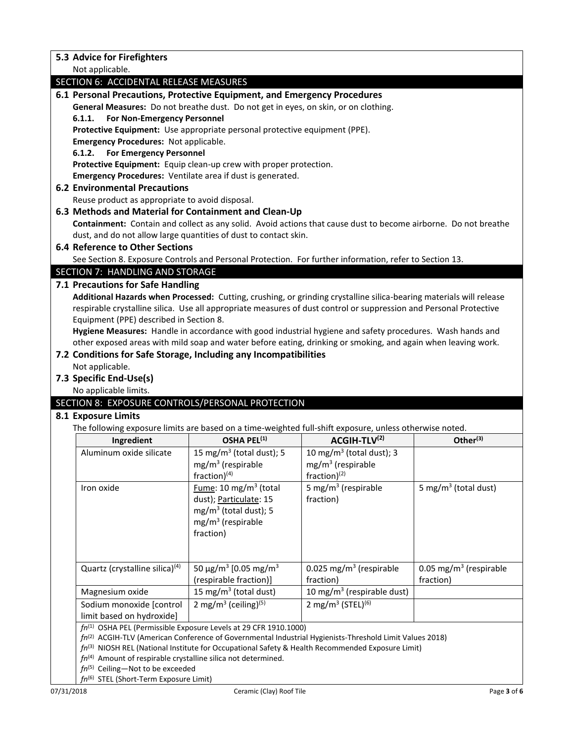| 5.3 Advice for Firefighters                                                                                         |                                                                       |                                                                                                              |                                    |  |  |
|---------------------------------------------------------------------------------------------------------------------|-----------------------------------------------------------------------|--------------------------------------------------------------------------------------------------------------|------------------------------------|--|--|
| Not applicable.                                                                                                     |                                                                       |                                                                                                              |                                    |  |  |
| <b>SECTION 6: ACCIDENTAL RELEASE MEASURES</b>                                                                       |                                                                       |                                                                                                              |                                    |  |  |
| 6.1 Personal Precautions, Protective Equipment, and Emergency Procedures                                            |                                                                       |                                                                                                              |                                    |  |  |
| General Measures: Do not breathe dust. Do not get in eyes, on skin, or on clothing.                                 |                                                                       |                                                                                                              |                                    |  |  |
| For Non-Emergency Personnel<br>6.1.1.                                                                               |                                                                       |                                                                                                              |                                    |  |  |
| Protective Equipment: Use appropriate personal protective equipment (PPE).                                          |                                                                       |                                                                                                              |                                    |  |  |
| <b>Emergency Procedures: Not applicable.</b>                                                                        |                                                                       |                                                                                                              |                                    |  |  |
| 6.1.2.<br><b>For Emergency Personnel</b>                                                                            |                                                                       |                                                                                                              |                                    |  |  |
| Protective Equipment: Equip clean-up crew with proper protection.                                                   |                                                                       |                                                                                                              |                                    |  |  |
| Emergency Procedures: Ventilate area if dust is generated.                                                          |                                                                       |                                                                                                              |                                    |  |  |
| <b>6.2 Environmental Precautions</b>                                                                                |                                                                       |                                                                                                              |                                    |  |  |
| Reuse product as appropriate to avoid disposal.                                                                     |                                                                       |                                                                                                              |                                    |  |  |
| 6.3 Methods and Material for Containment and Clean-Up                                                               |                                                                       |                                                                                                              |                                    |  |  |
| Containment: Contain and collect as any solid. Avoid actions that cause dust to become airborne. Do not breathe     |                                                                       |                                                                                                              |                                    |  |  |
| dust, and do not allow large quantities of dust to contact skin.<br><b>6.4 Reference to Other Sections</b>          |                                                                       |                                                                                                              |                                    |  |  |
|                                                                                                                     |                                                                       |                                                                                                              |                                    |  |  |
| See Section 8. Exposure Controls and Personal Protection. For further information, refer to Section 13.             |                                                                       |                                                                                                              |                                    |  |  |
| SECTION 7: HANDLING AND STORAGE                                                                                     |                                                                       |                                                                                                              |                                    |  |  |
| 7.1 Precautions for Safe Handling                                                                                   |                                                                       |                                                                                                              |                                    |  |  |
| Additional Hazards when Processed: Cutting, crushing, or grinding crystalline silica-bearing materials will release |                                                                       |                                                                                                              |                                    |  |  |
| respirable crystalline silica. Use all appropriate measures of dust control or suppression and Personal Protective  |                                                                       |                                                                                                              |                                    |  |  |
| Equipment (PPE) described in Section 8.                                                                             |                                                                       |                                                                                                              |                                    |  |  |
| Hygiene Measures: Handle in accordance with good industrial hygiene and safety procedures. Wash hands and           |                                                                       |                                                                                                              |                                    |  |  |
| other exposed areas with mild soap and water before eating, drinking or smoking, and again when leaving work.       |                                                                       |                                                                                                              |                                    |  |  |
| 7.2 Conditions for Safe Storage, Including any Incompatibilities                                                    |                                                                       |                                                                                                              |                                    |  |  |
|                                                                                                                     | Not applicable.                                                       |                                                                                                              |                                    |  |  |
| 7.3 Specific End-Use(s)                                                                                             |                                                                       |                                                                                                              |                                    |  |  |
|                                                                                                                     |                                                                       |                                                                                                              |                                    |  |  |
| No applicable limits.                                                                                               |                                                                       |                                                                                                              |                                    |  |  |
| SECTION 8: EXPOSURE CONTROLS/PERSONAL PROTECTION                                                                    |                                                                       |                                                                                                              |                                    |  |  |
| 8.1 Exposure Limits                                                                                                 |                                                                       |                                                                                                              |                                    |  |  |
| The following exposure limits are based on a time-weighted full-shift exposure, unless otherwise noted.             |                                                                       |                                                                                                              |                                    |  |  |
| Ingredient                                                                                                          | OSHA PEL <sup>(1)</sup>                                               | ACGIH-TLV(2)                                                                                                 | Other <sup>(3)</sup>               |  |  |
| Aluminum oxide silicate                                                                                             | 15 mg/m <sup>3</sup> (total dust); 5                                  | 10 mg/m <sup>3</sup> (total dust); 3                                                                         |                                    |  |  |
|                                                                                                                     | $mg/m3$ (respirable                                                   | $mg/m3$ (respirable                                                                                          |                                    |  |  |
|                                                                                                                     | $fraction)^{(4)}$                                                     | fraction $)^{(2)}$                                                                                           |                                    |  |  |
| Iron oxide                                                                                                          | Fume: 10 mg/m <sup>3</sup> (total                                     | 5 mg/m <sup>3</sup> (respirable                                                                              | 5 mg/m <sup>3</sup> (total dust)   |  |  |
|                                                                                                                     | dust); Particulate: 15                                                | fraction)                                                                                                    |                                    |  |  |
|                                                                                                                     | $mg/m3$ (total dust); 5                                               |                                                                                                              |                                    |  |  |
|                                                                                                                     | $mg/m3$ (respirable                                                   |                                                                                                              |                                    |  |  |
|                                                                                                                     | fraction)                                                             |                                                                                                              |                                    |  |  |
|                                                                                                                     |                                                                       |                                                                                                              |                                    |  |  |
|                                                                                                                     |                                                                       |                                                                                                              |                                    |  |  |
| Quartz (crystalline silica) <sup>(4)</sup>                                                                          | 50 μg/m <sup>3</sup> [0.05 mg/m <sup>3</sup>                          | 0.025 mg/m <sup>3</sup> (respirable                                                                          | 0.05 mg/m <sup>3</sup> (respirable |  |  |
|                                                                                                                     | (respirable fraction)]                                                | fraction)                                                                                                    | fraction)                          |  |  |
| Magnesium oxide                                                                                                     | 15 mg/m <sup>3</sup> (total dust)                                     | 10 mg/m <sup>3</sup> (respirable dust)                                                                       |                                    |  |  |
| Sodium monoxide [control                                                                                            | 2 mg/m <sup>3</sup> (ceiling) <sup>(5)</sup>                          | 2 mg/m <sup>3</sup> (STEL) <sup>(6)</sup>                                                                    |                                    |  |  |
| limit based on hydroxide]                                                                                           |                                                                       |                                                                                                              |                                    |  |  |
|                                                                                                                     | $fn^{(1)}$ OSHA PEL (Permissible Exposure Levels at 29 CFR 1910.1000) | $fn^{(2)}$ ACGIH-TLV (American Conference of Governmental Industrial Hygienists-Threshold Limit Values 2018) |                                    |  |  |
|                                                                                                                     |                                                                       | $fn^{(3)}$ NIOSH REL (National Institute for Occupational Safety & Health Recommended Exposure Limit)        |                                    |  |  |

- fn<sup>(4)</sup> Amount of respirable crystalline silica not determined.
- *fn*(5) Ceiling—Not to be exceeded
- *fn*(6) STEL (Short-Term Exposure Limit)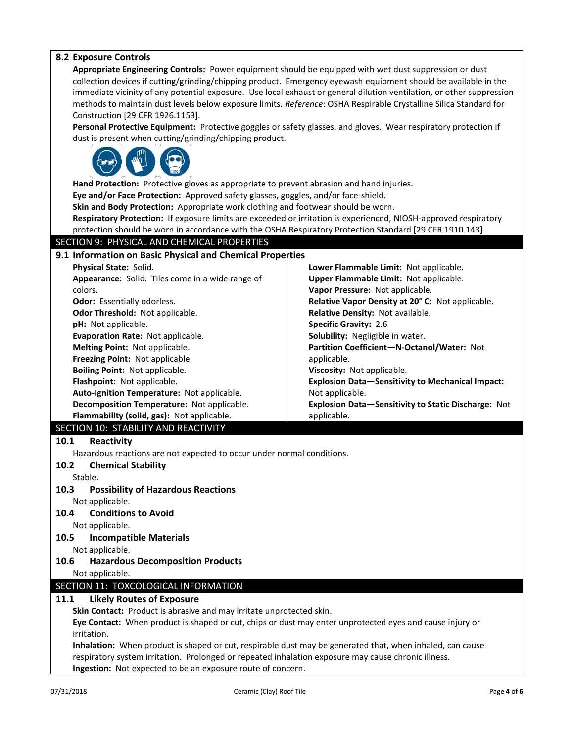| <b>8.2 Exposure Controls</b><br>Appropriate Engineering Controls: Power equipment should be equipped with wet dust suppression or dust<br>collection devices if cutting/grinding/chipping product. Emergency eyewash equipment should be available in the<br>immediate vicinity of any potential exposure. Use local exhaust or general dilution ventilation, or other suppression<br>methods to maintain dust levels below exposure limits. Reference: OSHA Respirable Crystalline Silica Standard for<br>Construction [29 CFR 1926.1153].<br>Personal Protective Equipment: Protective goggles or safety glasses, and gloves. Wear respiratory protection if<br>dust is present when cutting/grinding/chipping product.<br>Hand Protection: Protective gloves as appropriate to prevent abrasion and hand injuries.<br>Eye and/or Face Protection: Approved safety glasses, goggles, and/or face-shield.<br>Skin and Body Protection: Appropriate work clothing and footwear should be worn.<br>Respiratory Protection: If exposure limits are exceeded or irritation is experienced, NIOSH-approved respiratory<br>protection should be worn in accordance with the OSHA Respiratory Protection Standard [29 CFR 1910.143]. |  |  |  |  |
|--------------------------------------------------------------------------------------------------------------------------------------------------------------------------------------------------------------------------------------------------------------------------------------------------------------------------------------------------------------------------------------------------------------------------------------------------------------------------------------------------------------------------------------------------------------------------------------------------------------------------------------------------------------------------------------------------------------------------------------------------------------------------------------------------------------------------------------------------------------------------------------------------------------------------------------------------------------------------------------------------------------------------------------------------------------------------------------------------------------------------------------------------------------------------------------------------------------------------------|--|--|--|--|
| SECTION 9: PHYSICAL AND CHEMICAL PROPERTIES                                                                                                                                                                                                                                                                                                                                                                                                                                                                                                                                                                                                                                                                                                                                                                                                                                                                                                                                                                                                                                                                                                                                                                                    |  |  |  |  |
| 9.1 Information on Basic Physical and Chemical Properties<br>Physical State: Solid.<br>Lower Flammable Limit: Not applicable.<br>Upper Flammable Limit: Not applicable.<br>Appearance: Solid. Tiles come in a wide range of<br>Vapor Pressure: Not applicable.<br>colors.<br><b>Odor:</b> Essentially odorless.<br>Relative Vapor Density at 20° C: Not applicable.<br>Odor Threshold: Not applicable.<br>Relative Density: Not available.<br>pH: Not applicable.<br><b>Specific Gravity: 2.6</b><br>Evaporation Rate: Not applicable.<br>Solubility: Negligible in water.<br>Melting Point: Not applicable.<br>Partition Coefficient-N-Octanol/Water: Not<br>Freezing Point: Not applicable.<br>applicable.<br>Boiling Point: Not applicable.<br>Viscosity: Not applicable.<br>Flashpoint: Not applicable.<br><b>Explosion Data-Sensitivity to Mechanical Impact:</b><br>Auto-Ignition Temperature: Not applicable.<br>Not applicable.<br>Decomposition Temperature: Not applicable.<br>Explosion Data-Sensitivity to Static Discharge: Not<br>Flammability (solid, gas): Not applicable.<br>applicable.                                                                                                                      |  |  |  |  |
| SECTION 10: STABILITY AND REACTIVITY                                                                                                                                                                                                                                                                                                                                                                                                                                                                                                                                                                                                                                                                                                                                                                                                                                                                                                                                                                                                                                                                                                                                                                                           |  |  |  |  |
| 10.1<br>Reactivity<br>Hazardous reactions are not expected to occur under normal conditions.<br><b>Chemical Stability</b><br>10.2<br>Stable.<br>10.3<br><b>Possibility of Hazardous Reactions</b><br>Not applicable.<br><b>Conditions to Avoid</b><br>10.4<br>Not applicable.<br>10.5<br><b>Incompatible Materials</b><br>Not applicable.<br>10.6<br><b>Hazardous Decomposition Products</b><br>Not applicable.                                                                                                                                                                                                                                                                                                                                                                                                                                                                                                                                                                                                                                                                                                                                                                                                                |  |  |  |  |
| SECTION 11: TOXCOLOGICAL INFORMATION                                                                                                                                                                                                                                                                                                                                                                                                                                                                                                                                                                                                                                                                                                                                                                                                                                                                                                                                                                                                                                                                                                                                                                                           |  |  |  |  |
| 11.1<br><b>Likely Routes of Exposure</b><br>Skin Contact: Product is abrasive and may irritate unprotected skin.<br>Eye Contact: When product is shaped or cut, chips or dust may enter unprotected eyes and cause injury or<br>irritation.<br>Inhalation: When product is shaped or cut, respirable dust may be generated that, when inhaled, can cause<br>respiratory system irritation. Prolonged or repeated inhalation exposure may cause chronic illness.<br>Ingestion: Not expected to be an exposure route of concern.                                                                                                                                                                                                                                                                                                                                                                                                                                                                                                                                                                                                                                                                                                 |  |  |  |  |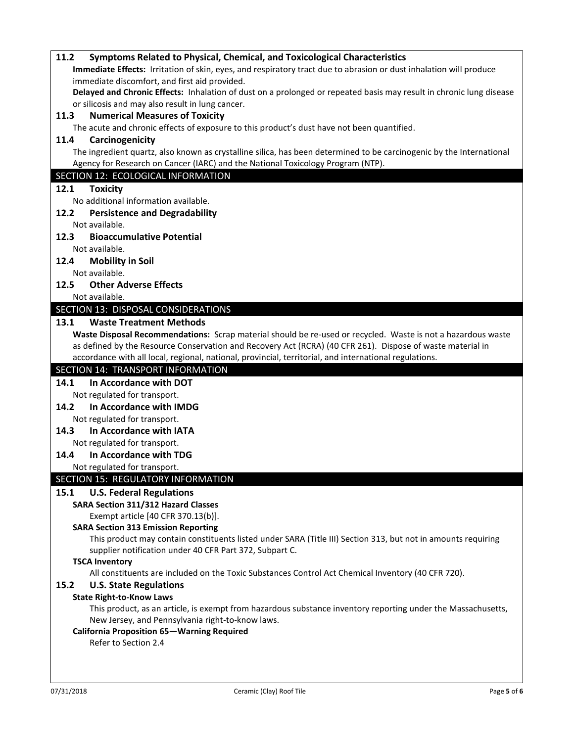| 11.2 | Symptoms Related to Physical, Chemical, and Toxicological Characteristics                                            |
|------|----------------------------------------------------------------------------------------------------------------------|
|      | Immediate Effects: Irritation of skin, eyes, and respiratory tract due to abrasion or dust inhalation will produce   |
|      | immediate discomfort, and first aid provided.                                                                        |
|      | Delayed and Chronic Effects: Inhalation of dust on a prolonged or repeated basis may result in chronic lung disease  |
|      | or silicosis and may also result in lung cancer.                                                                     |
| 11.3 | <b>Numerical Measures of Toxicity</b>                                                                                |
|      | The acute and chronic effects of exposure to this product's dust have not been quantified.                           |
| 11.4 | Carcinogenicity                                                                                                      |
|      | The ingredient quartz, also known as crystalline silica, has been determined to be carcinogenic by the International |
|      | Agency for Research on Cancer (IARC) and the National Toxicology Program (NTP).                                      |
|      | SECTION 12: ECOLOGICAL INFORMATION                                                                                   |
| 12.1 | <b>Toxicity</b>                                                                                                      |
|      | No additional information available.                                                                                 |
| 12.2 | <b>Persistence and Degradability</b>                                                                                 |
|      | Not available.                                                                                                       |
| 12.3 | <b>Bioaccumulative Potential</b>                                                                                     |
|      | Not available.                                                                                                       |
| 12.4 | <b>Mobility in Soil</b>                                                                                              |
|      | Not available.                                                                                                       |
| 12.5 | <b>Other Adverse Effects</b>                                                                                         |
|      | Not available.                                                                                                       |
|      | SECTION 13: DISPOSAL CONSIDERATIONS                                                                                  |
| 13.1 | <b>Waste Treatment Methods</b>                                                                                       |
|      | Waste Disposal Recommendations: Scrap material should be re-used or recycled. Waste is not a hazardous waste         |
|      | as defined by the Resource Conservation and Recovery Act (RCRA) (40 CFR 261). Dispose of waste material in           |
|      | accordance with all local, regional, national, provincial, territorial, and international regulations.               |
|      |                                                                                                                      |
|      |                                                                                                                      |
|      | SECTION 14: TRANSPORT INFORMATION                                                                                    |
| 14.1 | In Accordance with DOT                                                                                               |
|      | Not regulated for transport.                                                                                         |
| 14.2 | In Accordance with IMDG                                                                                              |
|      | Not regulated for transport.                                                                                         |
| 14.3 | In Accordance with IATA                                                                                              |
|      | Not regulated for transport.                                                                                         |
| 14.4 | In Accordance with TDG                                                                                               |
|      | Not regulated for transport.                                                                                         |
|      | SECTION 15: REGULATORY INFORMATION                                                                                   |
| 15.1 | <b>U.S. Federal Regulations</b>                                                                                      |
|      | <b>SARA Section 311/312 Hazard Classes</b>                                                                           |
|      | Exempt article [40 CFR 370.13(b)].                                                                                   |
|      | <b>SARA Section 313 Emission Reporting</b>                                                                           |
|      | This product may contain constituents listed under SARA (Title III) Section 313, but not in amounts requiring        |
|      | supplier notification under 40 CFR Part 372, Subpart C.                                                              |
|      | <b>TSCA Inventory</b>                                                                                                |
|      | All constituents are included on the Toxic Substances Control Act Chemical Inventory (40 CFR 720).                   |
| 15.2 | <b>U.S. State Regulations</b>                                                                                        |
|      | <b>State Right-to-Know Laws</b>                                                                                      |
|      | This product, as an article, is exempt from hazardous substance inventory reporting under the Massachusetts,         |
|      | New Jersey, and Pennsylvania right-to-know laws.                                                                     |
|      | <b>California Proposition 65-Warning Required</b>                                                                    |
|      | Refer to Section 2.4                                                                                                 |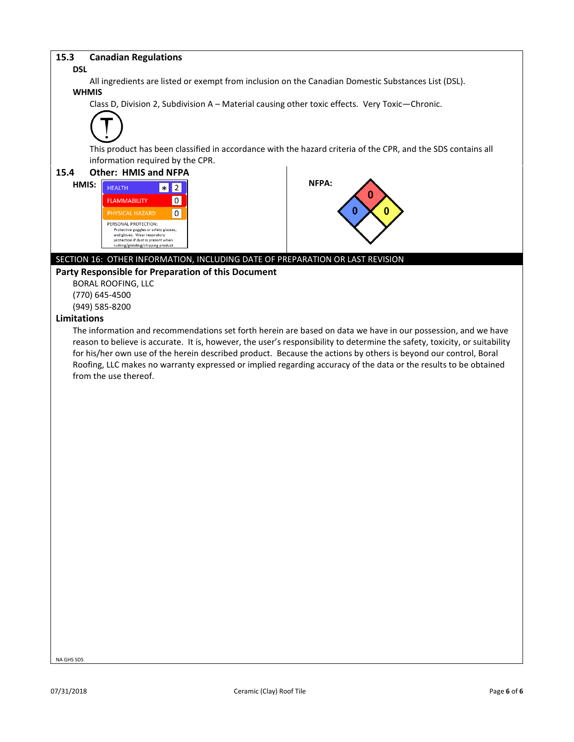#### **15.3 Canadian Regulations**

#### **DSL**

All ingredients are listed or exempt from inclusion on the Canadian Domestic Substances List (DSL). **WHMIS**

Class D, Division 2, Subdivision A – Material causing other toxic effects. Very Toxic—Chronic.



This product has been classified in accordance with the hazard criteria of the CPR, and the SDS contains all information required by the CPR.



(770) 645-4500

(949) 585-8200

#### **Limitations**

The information and recommendations set forth herein are based on data we have in our possession, and we have reason to believe is accurate. It is, however, the user's responsibility to determine the safety, toxicity, or suitability for his/her own use of the herein described product. Because the actions by others is beyond our control, Boral Roofing, LLC makes no warranty expressed or implied regarding accuracy of the data or the results to be obtained from the use thereof.

NA GHS SDS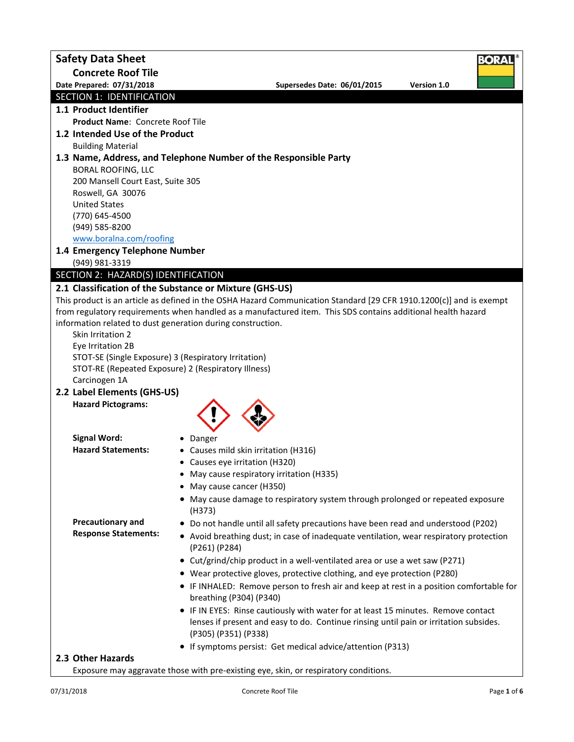| <b>Safety Data Sheet</b>            | Bora                                                                                                                                                                        |
|-------------------------------------|-----------------------------------------------------------------------------------------------------------------------------------------------------------------------------|
| <b>Concrete Roof Tile</b>           |                                                                                                                                                                             |
| Date Prepared: 07/31/2018           | Supersedes Date: 06/01/2015<br>Version 1.0                                                                                                                                  |
| SECTION 1: IDENTIFICATION           |                                                                                                                                                                             |
| 1.1 Product Identifier              |                                                                                                                                                                             |
| Product Name: Concrete Roof Tile    |                                                                                                                                                                             |
| 1.2 Intended Use of the Product     |                                                                                                                                                                             |
| <b>Building Material</b>            |                                                                                                                                                                             |
| <b>BORAL ROOFING, LLC</b>           | 1.3 Name, Address, and Telephone Number of the Responsible Party                                                                                                            |
| 200 Mansell Court East, Suite 305   |                                                                                                                                                                             |
| Roswell, GA 30076                   |                                                                                                                                                                             |
| <b>United States</b>                |                                                                                                                                                                             |
| (770) 645-4500                      |                                                                                                                                                                             |
| (949) 585-8200                      |                                                                                                                                                                             |
| www.boralna.com/roofing             |                                                                                                                                                                             |
| 1.4 Emergency Telephone Number      |                                                                                                                                                                             |
| (949) 981-3319                      |                                                                                                                                                                             |
| SECTION 2: HAZARD(S) IDENTIFICATION |                                                                                                                                                                             |
|                                     | 2.1 Classification of the Substance or Mixture (GHS-US)                                                                                                                     |
|                                     | This product is an article as defined in the OSHA Hazard Communication Standard [29 CFR 1910.1200(c)] and is exempt                                                         |
|                                     | from regulatory requirements when handled as a manufactured item. This SDS contains additional health hazard<br>information related to dust generation during construction. |
| Skin Irritation 2                   |                                                                                                                                                                             |
| Eye Irritation 2B                   |                                                                                                                                                                             |
|                                     | STOT-SE (Single Exposure) 3 (Respiratory Irritation)                                                                                                                        |
|                                     | STOT-RE (Repeated Exposure) 2 (Respiratory Illness)                                                                                                                         |
| Carcinogen 1A                       |                                                                                                                                                                             |
| 2.2 Label Elements (GHS-US)         |                                                                                                                                                                             |
| <b>Hazard Pictograms:</b>           |                                                                                                                                                                             |
|                                     |                                                                                                                                                                             |
| <b>Signal Word:</b>                 |                                                                                                                                                                             |
| <b>Hazard Statements:</b>           | • Danger<br>• Causes mild skin irritation (H316)                                                                                                                            |
|                                     | • Causes eye irritation (H320)                                                                                                                                              |
|                                     | • May cause respiratory irritation (H335)                                                                                                                                   |
|                                     | • May cause cancer (H350)                                                                                                                                                   |
|                                     | • May cause damage to respiratory system through prolonged or repeated exposure                                                                                             |
|                                     | (H373)                                                                                                                                                                      |
| <b>Precautionary and</b>            | • Do not handle until all safety precautions have been read and understood (P202)                                                                                           |
| <b>Response Statements:</b>         | • Avoid breathing dust; in case of inadequate ventilation, wear respiratory protection<br>(P261) (P284)                                                                     |
|                                     | • Cut/grind/chip product in a well-ventilated area or use a wet saw (P271)                                                                                                  |
|                                     | • Wear protective gloves, protective clothing, and eye protection (P280)                                                                                                    |
|                                     | • IF INHALED: Remove person to fresh air and keep at rest in a position comfortable for                                                                                     |
|                                     | breathing (P304) (P340)                                                                                                                                                     |
|                                     | • IF IN EYES: Rinse cautiously with water for at least 15 minutes. Remove contact                                                                                           |
|                                     | lenses if present and easy to do. Continue rinsing until pain or irritation subsides.                                                                                       |
|                                     | (P305) (P351) (P338)                                                                                                                                                        |
|                                     | • If symptoms persist: Get medical advice/attention (P313)                                                                                                                  |
| 2.3 Other Hazards                   |                                                                                                                                                                             |
|                                     | Exposure may aggravate those with pre-existing eye, skin, or respiratory conditions.                                                                                        |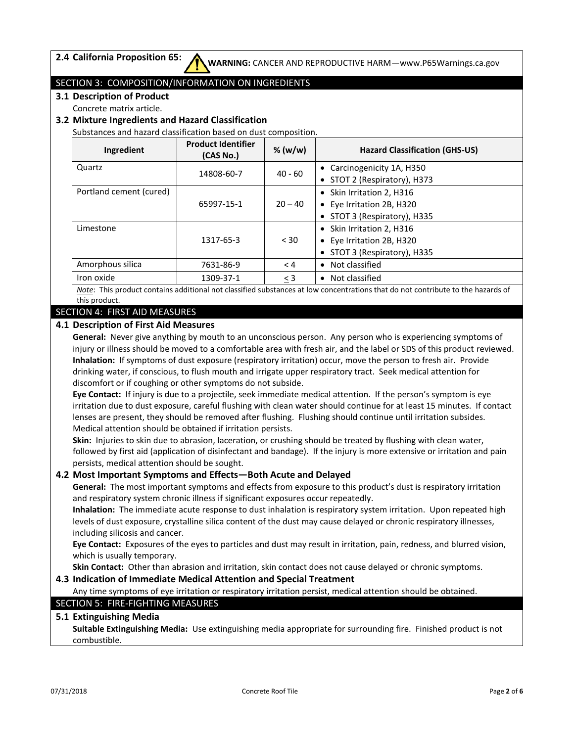## SECTION 3: COMPOSITION/INFORMATION ON INGREDIENTS

**3.1 Description of Product**

Concrete matrix article.

## **3.2 Mixture Ingredients and Hazard Classification**

Substances and hazard classification based on dust composition.

| Ingredient              | <b>Product Identifier</b><br>(CAS No.) | % $(w/w)$ | <b>Hazard Classification (GHS-US)</b> |
|-------------------------|----------------------------------------|-----------|---------------------------------------|
| Quartz                  | 14808-60-7                             | $40 - 60$ | • Carcinogenicity 1A, H350            |
|                         |                                        |           | • STOT 2 (Respiratory), H373          |
| Portland cement (cured) |                                        |           | • Skin Irritation 2, H316             |
|                         | 65997-15-1                             | $20 - 40$ | • Eye Irritation 2B, H320             |
|                         |                                        |           | • STOT 3 (Respiratory), H335          |
| Limestone               |                                        |           | • Skin Irritation 2, H316             |
|                         | 1317-65-3                              | < 30      | • Eye Irritation 2B, H320             |
|                         |                                        |           | • STOT 3 (Respiratory), H335          |
| Amorphous silica        | 7631-86-9                              | < 4       | • Not classified                      |
| Iron oxide              | 1309-37-1                              | $\leq$ 3  | • Not classified                      |

*Note*: This product contains additional not classified substances at low concentrations that do not contribute to the hazards of this product.

### SECTION 4: FIRST AID MEASURES

#### **4.1 Description of First Aid Measures**

**General:** Never give anything by mouth to an unconscious person. Any person who is experiencing symptoms of injury or illness should be moved to a comfortable area with fresh air, and the label or SDS of this product reviewed. **Inhalation:** If symptoms of dust exposure (respiratory irritation) occur, move the person to fresh air. Provide drinking water, if conscious, to flush mouth and irrigate upper respiratory tract. Seek medical attention for discomfort or if coughing or other symptoms do not subside.

**Eye Contact:** If injury is due to a projectile, seek immediate medical attention. If the person's symptom is eye irritation due to dust exposure, careful flushing with clean water should continue for at least 15 minutes. If contact lenses are present, they should be removed after flushing. Flushing should continue until irritation subsides. Medical attention should be obtained if irritation persists.

**Skin:** Injuries to skin due to abrasion, laceration, or crushing should be treated by flushing with clean water, followed by first aid (application of disinfectant and bandage). If the injury is more extensive or irritation and pain persists, medical attention should be sought.

## **4.2 Most Important Symptoms and Effects—Both Acute and Delayed**

**General:** The most important symptoms and effects from exposure to this product's dust is respiratory irritation and respiratory system chronic illness if significant exposures occur repeatedly.

**Inhalation:** The immediate acute response to dust inhalation is respiratory system irritation. Upon repeated high levels of dust exposure, crystalline silica content of the dust may cause delayed or chronic respiratory illnesses, including silicosis and cancer.

**Eye Contact:** Exposures of the eyes to particles and dust may result in irritation, pain, redness, and blurred vision, which is usually temporary.

**Skin Contact:** Other than abrasion and irritation, skin contact does not cause delayed or chronic symptoms.

#### **4.3 Indication of Immediate Medical Attention and Special Treatment**

Any time symptoms of eye irritation or respiratory irritation persist, medical attention should be obtained.

## SECTION 5: FIRE-FIGHTING MEASURES

### **5.1 Extinguishing Media**

**Suitable Extinguishing Media:** Use extinguishing media appropriate for surrounding fire. Finished product is not combustible.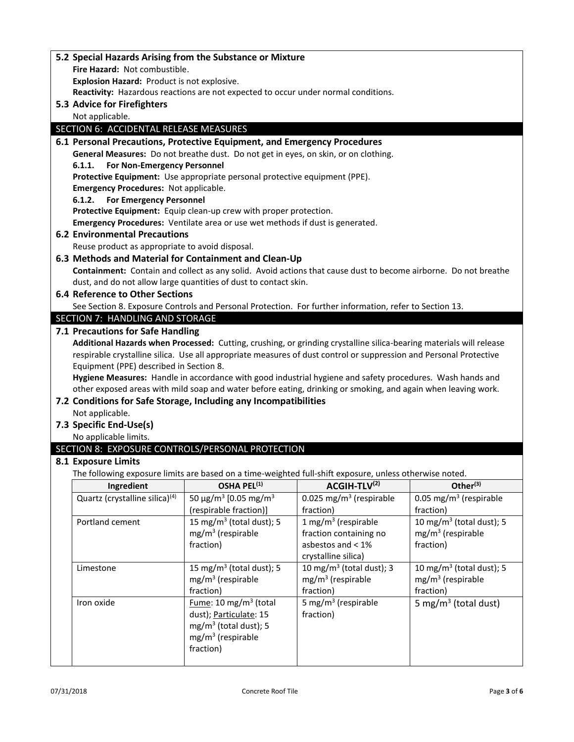| 5.2 Special Hazards Arising from the Substance or Mixture                                               |                                                   |                                                                                                                     |                                      |  |
|---------------------------------------------------------------------------------------------------------|---------------------------------------------------|---------------------------------------------------------------------------------------------------------------------|--------------------------------------|--|
| Fire Hazard: Not combustible.                                                                           |                                                   |                                                                                                                     |                                      |  |
| Explosion Hazard: Product is not explosive.                                                             |                                                   |                                                                                                                     |                                      |  |
| Reactivity: Hazardous reactions are not expected to occur under normal conditions.                      |                                                   |                                                                                                                     |                                      |  |
| 5.3 Advice for Firefighters                                                                             |                                                   |                                                                                                                     |                                      |  |
| Not applicable.                                                                                         |                                                   |                                                                                                                     |                                      |  |
| SECTION 6: ACCIDENTAL RELEASE MEASURES                                                                  |                                                   |                                                                                                                     |                                      |  |
| 6.1 Personal Precautions, Protective Equipment, and Emergency Procedures                                |                                                   |                                                                                                                     |                                      |  |
| General Measures: Do not breathe dust. Do not get in eyes, on skin, or on clothing.                     |                                                   |                                                                                                                     |                                      |  |
| For Non-Emergency Personnel<br>6.1.1.                                                                   |                                                   |                                                                                                                     |                                      |  |
| Protective Equipment: Use appropriate personal protective equipment (PPE).                              |                                                   |                                                                                                                     |                                      |  |
| <b>Emergency Procedures: Not applicable.</b>                                                            |                                                   |                                                                                                                     |                                      |  |
| <b>For Emergency Personnel</b><br>6.1.2.                                                                |                                                   |                                                                                                                     |                                      |  |
| Protective Equipment: Equip clean-up crew with proper protection.                                       |                                                   |                                                                                                                     |                                      |  |
| Emergency Procedures: Ventilate area or use wet methods if dust is generated.                           |                                                   |                                                                                                                     |                                      |  |
| <b>6.2 Environmental Precautions</b>                                                                    |                                                   |                                                                                                                     |                                      |  |
| Reuse product as appropriate to avoid disposal.                                                         |                                                   |                                                                                                                     |                                      |  |
| 6.3 Methods and Material for Containment and Clean-Up                                                   |                                                   |                                                                                                                     |                                      |  |
|                                                                                                         |                                                   | Containment: Contain and collect as any solid. Avoid actions that cause dust to become airborne. Do not breathe     |                                      |  |
| dust, and do not allow large quantities of dust to contact skin.                                        |                                                   |                                                                                                                     |                                      |  |
| <b>6.4 Reference to Other Sections</b>                                                                  |                                                   |                                                                                                                     |                                      |  |
|                                                                                                         |                                                   | See Section 8. Exposure Controls and Personal Protection. For further information, refer to Section 13.             |                                      |  |
| SECTION 7: HANDLING AND STORAGE                                                                         |                                                   |                                                                                                                     |                                      |  |
| 7.1 Precautions for Safe Handling                                                                       |                                                   |                                                                                                                     |                                      |  |
|                                                                                                         |                                                   | Additional Hazards when Processed: Cutting, crushing, or grinding crystalline silica-bearing materials will release |                                      |  |
|                                                                                                         |                                                   | respirable crystalline silica. Use all appropriate measures of dust control or suppression and Personal Protective  |                                      |  |
| Equipment (PPE) described in Section 8.                                                                 |                                                   |                                                                                                                     |                                      |  |
|                                                                                                         |                                                   | Hygiene Measures: Handle in accordance with good industrial hygiene and safety procedures. Wash hands and           |                                      |  |
|                                                                                                         |                                                   | other exposed areas with mild soap and water before eating, drinking or smoking, and again when leaving work.       |                                      |  |
| 7.2 Conditions for Safe Storage, Including any Incompatibilities                                        |                                                   |                                                                                                                     |                                      |  |
| Not applicable.                                                                                         |                                                   |                                                                                                                     |                                      |  |
| 7.3 Specific End-Use(s)                                                                                 |                                                   |                                                                                                                     |                                      |  |
| No applicable limits.                                                                                   |                                                   |                                                                                                                     |                                      |  |
| SECTION 8: EXPOSURE CONTROLS/PERSONAL PROTECTION                                                        |                                                   |                                                                                                                     |                                      |  |
| 8.1 Exposure Limits                                                                                     |                                                   |                                                                                                                     |                                      |  |
| The following exposure limits are based on a time-weighted full-shift exposure, unless otherwise noted. |                                                   |                                                                                                                     |                                      |  |
| Ingredient                                                                                              | OSHA PEL <sup>(1)</sup>                           | ACGIH-TLV(2)                                                                                                        | Other $(3)$                          |  |
| Quartz (crystalline silica) <sup>(4)</sup>                                                              | 50 $\mu$ g/m <sup>3</sup> [0.05 mg/m <sup>3</sup> | 0.025 mg/m <sup>3</sup> (respirable                                                                                 | 0.05 mg/m <sup>3</sup> (respirable   |  |
|                                                                                                         | (respirable fraction)]                            | fraction)                                                                                                           | fraction)                            |  |
| Portland cement                                                                                         | 15 mg/m <sup>3</sup> (total dust); 5              | 1 mg/m <sup>3</sup> (respirable                                                                                     | 10 mg/m <sup>3</sup> (total dust); 5 |  |
|                                                                                                         | $mg/m3$ (respirable<br>fraction)                  | fraction containing no<br>asbestos and < 1%                                                                         | $mg/m3$ (respirable<br>fraction)     |  |
|                                                                                                         |                                                   |                                                                                                                     |                                      |  |
|                                                                                                         | 15 mg/m $3$ (total dust); 5                       | crystalline silica)                                                                                                 | 10 mg/m $3$ (total dust); 5          |  |
| Limestone                                                                                               | $mg/m3$ (respirable                               | 10 mg/m $3$ (total dust); 3<br>$mg/m3$ (respirable                                                                  | $mg/m3$ (respirable                  |  |
|                                                                                                         | fraction)                                         | fraction)                                                                                                           | fraction)                            |  |
| Iron oxide                                                                                              | Fume: 10 mg/m <sup>3</sup> (total                 | 5 mg/m <sup>3</sup> (respirable                                                                                     |                                      |  |
|                                                                                                         | dust); Particulate: 15                            | fraction)                                                                                                           | 5 mg/m <sup>3</sup> (total dust)     |  |
|                                                                                                         | $mg/m3$ (total dust); 5                           |                                                                                                                     |                                      |  |
|                                                                                                         | $mg/m3$ (respirable                               |                                                                                                                     |                                      |  |
|                                                                                                         | fraction)                                         |                                                                                                                     |                                      |  |
|                                                                                                         |                                                   |                                                                                                                     |                                      |  |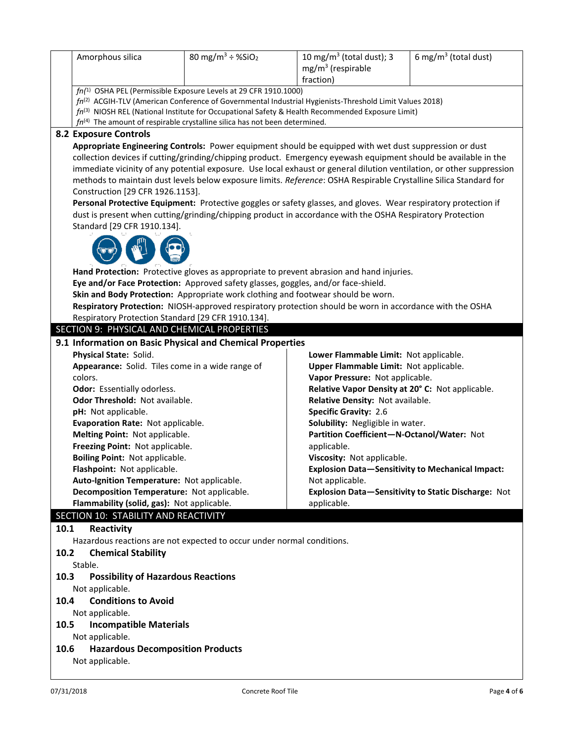|                      | Amorphous silica                                                                                                                                                                                                                                                                                                                                                                                                                                                                                                                                                                                                                                                                                                                                                                                                                                                                                                                                                                                                                                                                                                                                                                                                                                                               | 80 mg/m <sup>3</sup> ÷ %SiO <sub>2</sub> | 10 mg/m <sup>3</sup> (total dust); 3<br>$mg/m3$ (respirable<br>fraction)                                                                                                                                                                                                                                                                                                                                                                                                | 6 mg/m <sup>3</sup> (total dust)                    |  |  |
|----------------------|--------------------------------------------------------------------------------------------------------------------------------------------------------------------------------------------------------------------------------------------------------------------------------------------------------------------------------------------------------------------------------------------------------------------------------------------------------------------------------------------------------------------------------------------------------------------------------------------------------------------------------------------------------------------------------------------------------------------------------------------------------------------------------------------------------------------------------------------------------------------------------------------------------------------------------------------------------------------------------------------------------------------------------------------------------------------------------------------------------------------------------------------------------------------------------------------------------------------------------------------------------------------------------|------------------------------------------|-------------------------------------------------------------------------------------------------------------------------------------------------------------------------------------------------------------------------------------------------------------------------------------------------------------------------------------------------------------------------------------------------------------------------------------------------------------------------|-----------------------------------------------------|--|--|
|                      | fn(1) OSHA PEL (Permissible Exposure Levels at 29 CFR 1910.1000)<br>$fn^{(2)}$ ACGIH-TLV (American Conference of Governmental Industrial Hygienists-Threshold Limit Values 2018)<br>$fn^{(3)}$ NIOSH REL (National Institute for Occupational Safety & Health Recommended Exposure Limit)                                                                                                                                                                                                                                                                                                                                                                                                                                                                                                                                                                                                                                                                                                                                                                                                                                                                                                                                                                                      |                                          |                                                                                                                                                                                                                                                                                                                                                                                                                                                                         |                                                     |  |  |
|                      | $fn^{(4)}$ The amount of respirable crystalline silica has not been determined.<br><b>8.2 Exposure Controls</b><br>Appropriate Engineering Controls: Power equipment should be equipped with wet dust suppression or dust<br>collection devices if cutting/grinding/chipping product. Emergency eyewash equipment should be available in the<br>immediate vicinity of any potential exposure. Use local exhaust or general dilution ventilation, or other suppression<br>methods to maintain dust levels below exposure limits. Reference: OSHA Respirable Crystalline Silica Standard for<br>Construction [29 CFR 1926.1153].<br>Personal Protective Equipment: Protective goggles or safety glasses, and gloves. Wear respiratory protection if<br>dust is present when cutting/grinding/chipping product in accordance with the OSHA Respiratory Protection<br>Standard [29 CFR 1910.134].<br>Hand Protection: Protective gloves as appropriate to prevent abrasion and hand injuries.<br>Eye and/or Face Protection: Approved safety glasses, goggles, and/or face-shield.<br>Skin and Body Protection: Appropriate work clothing and footwear should be worn.<br>Respiratory Protection: NIOSH-approved respiratory protection should be worn in accordance with the OSHA |                                          |                                                                                                                                                                                                                                                                                                                                                                                                                                                                         |                                                     |  |  |
|                      | Respiratory Protection Standard [29 CFR 1910.134].                                                                                                                                                                                                                                                                                                                                                                                                                                                                                                                                                                                                                                                                                                                                                                                                                                                                                                                                                                                                                                                                                                                                                                                                                             |                                          |                                                                                                                                                                                                                                                                                                                                                                                                                                                                         |                                                     |  |  |
|                      | SECTION 9: PHYSICAL AND CHEMICAL PROPERTIES                                                                                                                                                                                                                                                                                                                                                                                                                                                                                                                                                                                                                                                                                                                                                                                                                                                                                                                                                                                                                                                                                                                                                                                                                                    |                                          |                                                                                                                                                                                                                                                                                                                                                                                                                                                                         |                                                     |  |  |
|                      | 9.1 Information on Basic Physical and Chemical Properties<br>Physical State: Solid.<br>Appearance: Solid. Tiles come in a wide range of<br>colors.<br>Odor: Essentially odorless.<br>Odor Threshold: Not available.<br>pH: Not applicable.<br>Evaporation Rate: Not applicable.<br>Melting Point: Not applicable.<br>Freezing Point: Not applicable.<br>Boiling Point: Not applicable.<br>Flashpoint: Not applicable.<br>Auto-Ignition Temperature: Not applicable.<br>Decomposition Temperature: Not applicable.<br>Flammability (solid, gas): Not applicable.<br>SECTION 10: STABILITY AND REACTIVITY                                                                                                                                                                                                                                                                                                                                                                                                                                                                                                                                                                                                                                                                        |                                          | Lower Flammable Limit: Not applicable.<br>Upper Flammable Limit: Not applicable.<br>Vapor Pressure: Not applicable.<br>Relative Vapor Density at 20° C: Not applicable.<br>Relative Density: Not available.<br><b>Specific Gravity: 2.6</b><br>Solubility: Negligible in water.<br>Partition Coefficient-N-Octanol/Water: Not<br>applicable.<br>Viscosity: Not applicable.<br><b>Explosion Data-Sensitivity to Mechanical Impact:</b><br>Not applicable.<br>applicable. | Explosion Data-Sensitivity to Static Discharge: Not |  |  |
| 10.1                 | Reactivity                                                                                                                                                                                                                                                                                                                                                                                                                                                                                                                                                                                                                                                                                                                                                                                                                                                                                                                                                                                                                                                                                                                                                                                                                                                                     |                                          |                                                                                                                                                                                                                                                                                                                                                                                                                                                                         |                                                     |  |  |
| 10.2<br>10.3         | Hazardous reactions are not expected to occur under normal conditions.<br><b>Chemical Stability</b><br>Stable.<br><b>Possibility of Hazardous Reactions</b><br>Not applicable.                                                                                                                                                                                                                                                                                                                                                                                                                                                                                                                                                                                                                                                                                                                                                                                                                                                                                                                                                                                                                                                                                                 |                                          |                                                                                                                                                                                                                                                                                                                                                                                                                                                                         |                                                     |  |  |
| 10.4<br>10.5<br>10.6 | <b>Conditions to Avoid</b><br>Not applicable.<br><b>Incompatible Materials</b><br>Not applicable.<br><b>Hazardous Decomposition Products</b><br>Not applicable.                                                                                                                                                                                                                                                                                                                                                                                                                                                                                                                                                                                                                                                                                                                                                                                                                                                                                                                                                                                                                                                                                                                |                                          |                                                                                                                                                                                                                                                                                                                                                                                                                                                                         |                                                     |  |  |
| 07/31/2018           |                                                                                                                                                                                                                                                                                                                                                                                                                                                                                                                                                                                                                                                                                                                                                                                                                                                                                                                                                                                                                                                                                                                                                                                                                                                                                | Concrete Roof Tile                       |                                                                                                                                                                                                                                                                                                                                                                                                                                                                         | Page 4 of 6                                         |  |  |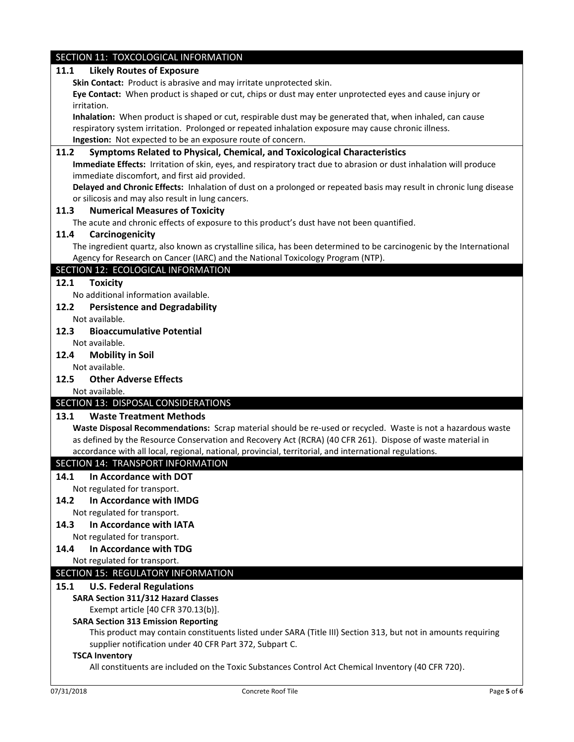## SECTION 11: TOXCOLOGICAL INFORMATION **11.1 Likely Routes of Exposure Skin Contact:** Product is abrasive and may irritate unprotected skin. **Eye Contact:** When product is shaped or cut, chips or dust may enter unprotected eyes and cause injury or irritation. **Inhalation:** When product is shaped or cut, respirable dust may be generated that, when inhaled, can cause respiratory system irritation. Prolonged or repeated inhalation exposure may cause chronic illness. **Ingestion:** Not expected to be an exposure route of concern. **11.2 Symptoms Related to Physical, Chemical, and Toxicological Characteristics Immediate Effects:** Irritation of skin, eyes, and respiratory tract due to abrasion or dust inhalation will produce immediate discomfort, and first aid provided. **Delayed and Chronic Effects:** Inhalation of dust on a prolonged or repeated basis may result in chronic lung disease or silicosis and may also result in lung cancers. **11.3 Numerical Measures of Toxicity** The acute and chronic effects of exposure to this product's dust have not been quantified. **11.4 Carcinogenicity** The ingredient quartz, also known as crystalline silica, has been determined to be carcinogenic by the International Agency for Research on Cancer (IARC) and the National Toxicology Program (NTP). SECTION 12: ECOLOGICAL INFORMATION **12.1 Toxicity** No additional information available. **12.2 Persistence and Degradability** Not available. **12.3 Bioaccumulative Potential** Not available. **12.4 Mobility in Soil** Not available. **12.5 Other Adverse Effects** Not available. SECTION 13: DISPOSAL CONSIDERATIONS **13.1 Waste Treatment Methods Waste Disposal Recommendations:** Scrap material should be re-used or recycled. Waste is not a hazardous waste as defined by the Resource Conservation and Recovery Act (RCRA) (40 CFR 261). Dispose of waste material in accordance with all local, regional, national, provincial, territorial, and international regulations. SECTION 14: TRANSPORT INFORMATION **14.1 In Accordance with DOT** Not regulated for transport. **14.2 In Accordance with IMDG** Not regulated for transport. **14.3 In Accordance with IATA** Not regulated for transport. **14.4 In Accordance with TDG** Not regulated for transport. SECTION 15: REGULATORY INFORMATION **15.1 U.S. Federal Regulations SARA Section 311/312 Hazard Classes** Exempt article [40 CFR 370.13(b)]. **SARA Section 313 Emission Reporting** This product may contain constituents listed under SARA (Title III) Section 313, but not in amounts requiring supplier notification under 40 CFR Part 372, Subpart C. **TSCA Inventory** All constituents are included on the Toxic Substances Control Act Chemical Inventory (40 CFR 720).